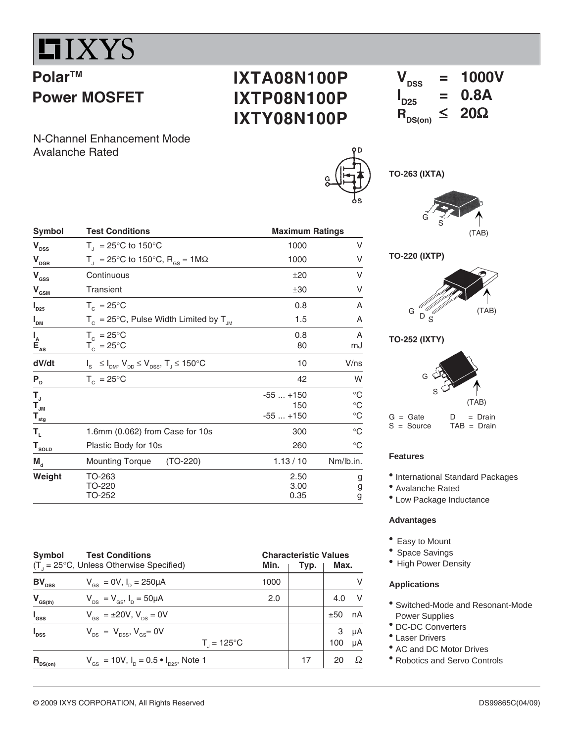

**Power MOSFET**

**PolarTM**

## **IXTA08N100P IXTP08N100P IXTY08N100P**

 $V_{\text{nss}} = 1000V$ **I**<sub>D25</sub>  $= 0.8A$ <br> $\leq 20\Omega$  $R_{DS(on)}$ 

N-Channel Enhancement Mode Avalanche Rated

| Symbol                                                             | <b>Test Conditions</b>                                              | <b>Maximum Ratings</b>        |                                                       |
|--------------------------------------------------------------------|---------------------------------------------------------------------|-------------------------------|-------------------------------------------------------|
| $V_{\text{DSS}}$                                                   | $T_{\text{I}}$ = 25°C to 150°C                                      | 1000                          | V                                                     |
| $V_{\text{DGR}}$                                                   | T <sub>1</sub> = 25°C to 150°C, R <sub>GS</sub> = 1M $\Omega$       | 1000                          | V                                                     |
| $V_{\rm{dss}}$                                                     | Continuous                                                          | ±20                           | V                                                     |
| $V_{\text{GSM}}$                                                   | <b>Transient</b>                                                    | ±30                           | V                                                     |
| $\mathsf{I}_{\mathsf{D25}}$                                        | $T_c = 25^{\circ}C$                                                 | 0.8                           | A                                                     |
| $I_{DM}$                                                           | $T_c = 25^{\circ}$ C, Pulse Width Limited by $T_{JM}$               | 1.5                           | A                                                     |
| $I_{\sub{A}\atop \substack{\mathbf{E}\atop \mathbf{A}\mathbf{S}}}$ | $T_c = 25^{\circ}C$<br>$T_c = 25^{\circ}$ C                         | 0.8<br>80                     | A<br>mJ                                               |
| dV/dt                                                              | $I_s \leq I_{DM}$ , $V_{DD} \leq V_{DSS}$ , $T_J \leq 150^{\circ}C$ | 10                            | V/ns                                                  |
| $P_{D}$                                                            | $T_c = 25^{\circ}C$                                                 | 42                            | W                                                     |
| T,<br>$\mathsf{T}_{\mathsf{JM}}$<br>$T_{\text{stg}}$               |                                                                     | $-55+150$<br>150<br>$-55+150$ | $^{\circ}C$<br>$^\circ \text{C}$<br>$^\circ \text{C}$ |
| $\mathsf{T}_{\scriptscriptstyle\mathsf{L}}$                        | 1.6mm (0.062) from Case for 10s                                     | 300                           | $^{\circ}C$                                           |
| $T_{\text{sOLD}}$                                                  | Plastic Body for 10s                                                | 260                           | $^{\circ}C$                                           |
| $M_{\rm d}$                                                        | $(TO-220)$<br><b>Mounting Torque</b>                                | 1.13/10                       | Nm/lb.in.                                             |
| Weight                                                             | TO-263<br>TO-220<br>TO-252                                          | 2.50<br>3.00<br>0.35          | g<br>g<br>g                                           |

| Symbol           | <b>Test Conditions</b><br>$(T_{1} = 25^{\circ}C,$ Unless Otherwise Specified) | Min.                   | <b>Characteristic Values</b><br>Typ. | Max.     |          |
|------------------|-------------------------------------------------------------------------------|------------------------|--------------------------------------|----------|----------|
| $BV_{\rm pss}$   | $V_{gs} = 0V$ , $I_p = 250 \mu A$                                             | 1000                   |                                      |          | v        |
| $V_{GS(th)}$     | $V_{DS} = V_{GS}$ , $I_{D} = 50 \mu A$                                        | 2.0                    |                                      | 4.0      | V        |
| $I_{\rm dss}$    | $V_{\text{gs}} = \pm 20V, V_{\text{ps}} = 0V$                                 |                        |                                      | $±50$ nA |          |
| I <sub>dss</sub> | $V_{\text{ps}} = V_{\text{pss}}$ , $V_{\text{gs}} = 0V$                       | $T_{1} = 125^{\circ}C$ |                                      | 3<br>100 | μA<br>μA |
| $R_{DS(on)}$     | $V_{\text{gs}} = 10V$ , $I_{\text{p}} = 0.5 \cdot I_{\text{pgs}}$ , Note 1    |                        | 17                                   | 20       | Ω        |

|                      | G | S | (TAB) |
|----------------------|---|---|-------|
| <b>TO-220 (IXTP)</b> |   |   |       |
|                      |   |   |       |
| G                    |   |   | (TAB) |

**TO-252 (IXTY)**

**TO-263 (IXTA)**



 $G = Gate$   $D = Drain$ <br> $S = Source$   $TAB = Drain$  $TAB = Drain$ 

### **Features**

• International Standard Packages

- Avalanche Rated
- Low Package Inductance

## **Advantages**

- Easy to Mount
- Space Savings
- High Power Density

### **Applications**

- Switched-Mode and Resonant-Mode Power Supplies
- DC-DC Converters
- Laser Drivers
- AC and DC Motor Drives
- Robotics and Servo Controls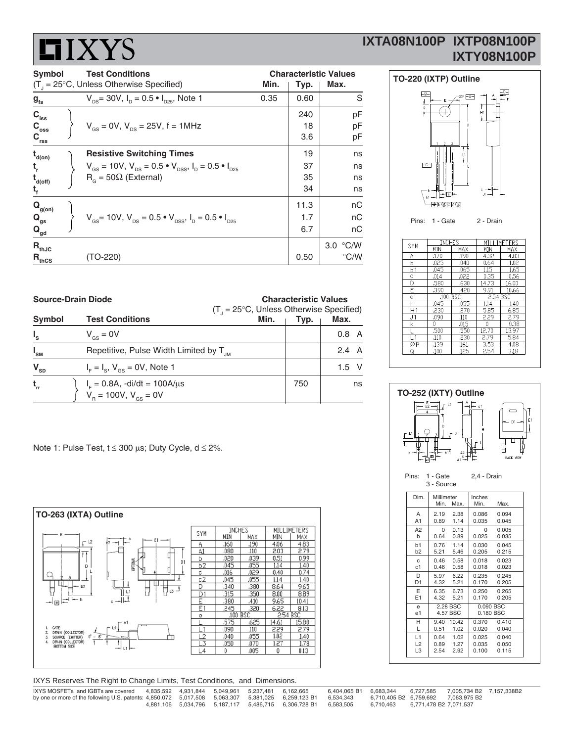# **HIXYS**

## **IXTA08N100P IXTP08N100P IXTY08N100P**

| <b>Test Conditions</b><br>Symbol       |  |                                                                                                                           | <b>Characteristic Values</b> |      |               |
|----------------------------------------|--|---------------------------------------------------------------------------------------------------------------------------|------------------------------|------|---------------|
|                                        |  | $(T_{1} = 25^{\circ}C,$ Unless Otherwise Specified)                                                                       | Min.                         | Typ. | Max.          |
| $g_{\rm fs}$                           |  | $V_{\text{ps}}$ = 30V, $I_{\text{p}}$ = 0.5 $\bullet$ $I_{\text{ps}}$ , Note 1                                            | 0.35                         | 0.60 | S             |
| $C_{\rm iss}$                          |  |                                                                                                                           |                              | 240  | рF            |
| $C_{\rm oss}$                          |  | $V_{\text{gs}} = 0V$ , $V_{\text{ps}} = 25V$ , f = 1MHz                                                                   |                              | 18   | рF            |
| $\mathbf{C}_{\text{rss}}$              |  |                                                                                                                           |                              | 3.6  | pF            |
| $t_{d(on)}$                            |  | <b>Resistive Switching Times</b>                                                                                          |                              | 19   | ns            |
|                                        |  | $V_{\text{gs}} = 10V$ , $V_{\text{ps}} = 0.5 \cdot V_{\text{pss}}$ , $I_{\text{p}} = 0.5 \cdot I_{\text{pss}}$            |                              | 37   | ns            |
| $t_{\mathsf{d}(\mathsf{off})}$         |  | $R_c = 50\Omega$ (External)                                                                                               |                              | 35   | ns            |
| ч.                                     |  |                                                                                                                           |                              | 34   | ns            |
| $Q_{g(0n)}$                            |  |                                                                                                                           |                              | 11.3 | пC            |
| $Q_{gs}$                               |  | $V_{\text{gs}}$ = 10V, $V_{\text{ps}}$ = 0.5 $\bullet$ $V_{\text{pss}}$ , $I_{\text{p}}$ = 0.5 $\bullet$ $I_{\text{pss}}$ |                              | 1.7  | nС            |
| $\mathbf{Q}_{\underline{\mathbf{gd}}}$ |  |                                                                                                                           |                              | 6.7  | пC            |
| $R_{thJC}$                             |  |                                                                                                                           |                              |      | 3.0 °C/W      |
| ${\mathsf R}_{\text{thCS}}$            |  | (TO-220)                                                                                                                  |                              | 0.50 | $\degree$ C/W |



| <b>SYM</b>     | <b>INCHES</b> |            |          | MILLIMETERS |
|----------------|---------------|------------|----------|-------------|
|                | MIN           | MAX        | MIN      | MAX         |
| А              | .170          | .190       | 4.32     | 4.83        |
| b              | .025          | .040       | 0.64     | 1.02        |
| b <sub>1</sub> | .045          | .065       | 1.15     | 1.65        |
| Ċ              | .014          | ,022       | 0.35     | 0.56        |
| D              | .580          | .630       | 14.73    | 16.00       |
| F              | .390          | .420       | 9.91     | 10.66       |
| e              | .100.         | <b>BSC</b> | 2.54 BSC |             |
| F              | .045          | .055       | 1.14     | 1.40        |
| Η1             | .230          | .270       | 5.85     | 6.85        |
| J <sub>1</sub> | .090          | .110       | 2.29     | 2.79        |
| k              | 0             | .015       | 0        | 0.38        |
|                | .500          | .550       | 12.70    | 13.97       |
| $\overline{1}$ | .110          | .230       | 2.79     | 5.84        |
| ØP             | .139          | .161       | 3.53     | 4.08        |
| O              | .100          | .125       | 2.54     | 3.18        |



| י איני |         |    |  |                |      |
|--------|---------|----|--|----------------|------|
|        | 0.8 A   |    |  |                | .50  |
|        |         |    |  |                | .11C |
|        |         |    |  | ØP             | .13  |
|        | 2.4 A   |    |  |                | .10( |
|        |         |    |  |                |      |
|        | $1.5$ V |    |  |                |      |
|        |         |    |  |                |      |
|        |         |    |  |                |      |
| 750    |         | ns |  |                |      |
|        |         |    |  | $TO$ $CO$ $TV$ |      |

Note 1: Pulse Test,  $t \le 300$  µs; Duty Cycle,  $d \le 2\%$ .

 $\mathbf{t}_{\rm rr}$ 



| IXYS Reserves The Right to Change Limits, Test Conditions, and Dimensions. |                     |                     |           |           |              |  |
|----------------------------------------------------------------------------|---------------------|---------------------|-----------|-----------|--------------|--|
| IXYS MOSFETs and IGBTs are covered                                         | 4.835.592 4.931.844 |                     | 5.049.961 | 5.237.481 | 6.162.665    |  |
| by one or more of the following U.S. patents: $4,850,072$ 5,017,508        |                     |                     | 5.063.307 | 5.381.025 | 6.259.123 B1 |  |
|                                                                            |                     | 4.881.106 5.034.796 | 5.187.117 | 5.486.715 | 6.306.728 B1 |  |

0.404,065 B1 6,683,344 6,727,585 7,005,734 B2 7,157,338B2<br>B1 6,534,343 6,710,405 B2 6,759,692 7,063,975 B2 6,534,343 6,710,405 B2 6,759,692 7,063,975<br>6,583,505 6,710,463 6,771,478 B2 7,071,537

| $1 - 4 - 5 - 1 - 7 - 1 + 2000 - 15 - 5 - 6 - 1 + 200$ |  |  |
|-------------------------------------------------------|--|--|

|              |                                                    | $(T_{1} = 25^{\circ}C,$ Unless Otherwise Specified) |      |              |  |  |
|--------------|----------------------------------------------------|-----------------------------------------------------|------|--------------|--|--|
| Symbol       | <b>Test Conditions</b>                             | Min.                                                | Typ. | Max.         |  |  |
|              | $V_{\text{gs}} = 0V$                               |                                                     |      | 0.8 A        |  |  |
| $I_{\rm SM}$ | Repetitive, Pulse Width Limited by T <sub>IM</sub> |                                                     |      | $2.4\quad A$ |  |  |
| $V_{SD}$     | $I_{F} = I_{S}$ , $V_{GS} = 0V$ , Note 1           |                                                     |      | $1.5$ V      |  |  |

**Source-Drain Diode Characteristic Values**

 $I<sub>F</sub> = 0.8A$ , -di/dt = 100A/μs  $V_B = 100V, V_{GS} = 0V$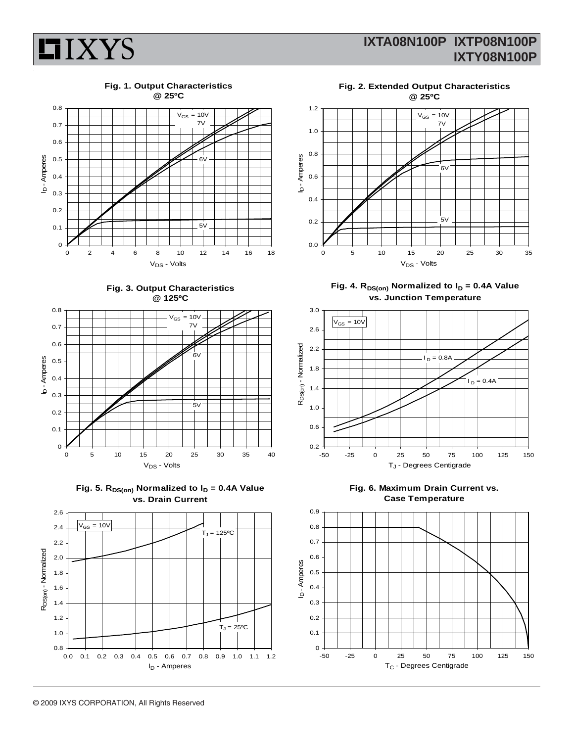

## **Fig. 1. Output Characteristics**

**HIXYS** 



**Fig. 3. Output Characteristics @ 125ºC**







**Fig. 2. Extended Output Characteristics**



Fig. 4.  $R_{DS(on)}$  Normalized to  $I_D = 0.4A$  Value **vs. Junction Temperature**





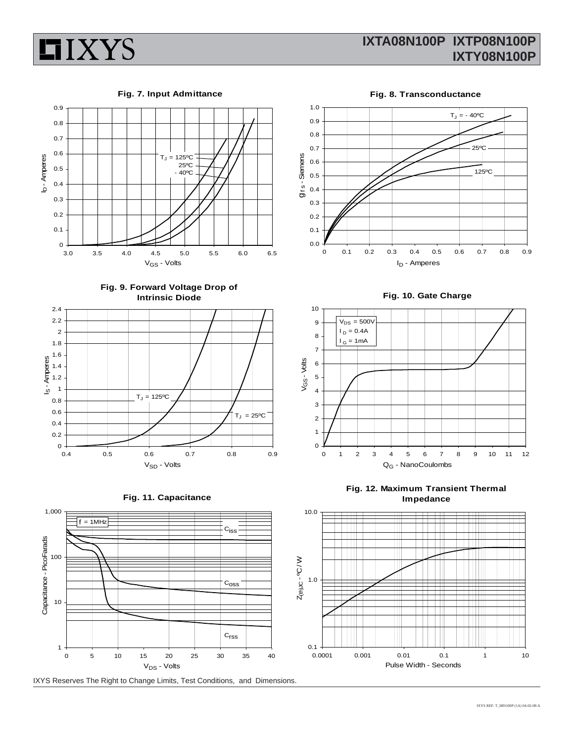

**Fig. 7. Input Admittance**

**HIXYS** 



**Fig. 9. Forward Voltage Drop of Intrinsic Diode**







IXYS Reserves The Right to Change Limits, Test Conditions, and Dimensions.

**Fig. 8. Transconductance** 1.0  $T_J = -40$ <sup>o</sup>C 0.9 0.8 0.7 25ºC g<sub>ts</sub>-Siemens gf s - Siemens 0.6 125ºC 0.5 0.4 0.3 0.2 0.1 0.0 0 0.1 0.2 0.3 0.4 0.5 0.6 0.7 0.8 0.9 I<sub>D</sub> - Amperes

**Fig. 10. Gate Charge**



**Fig. 12. Maximum Transient Thermal Impedance**